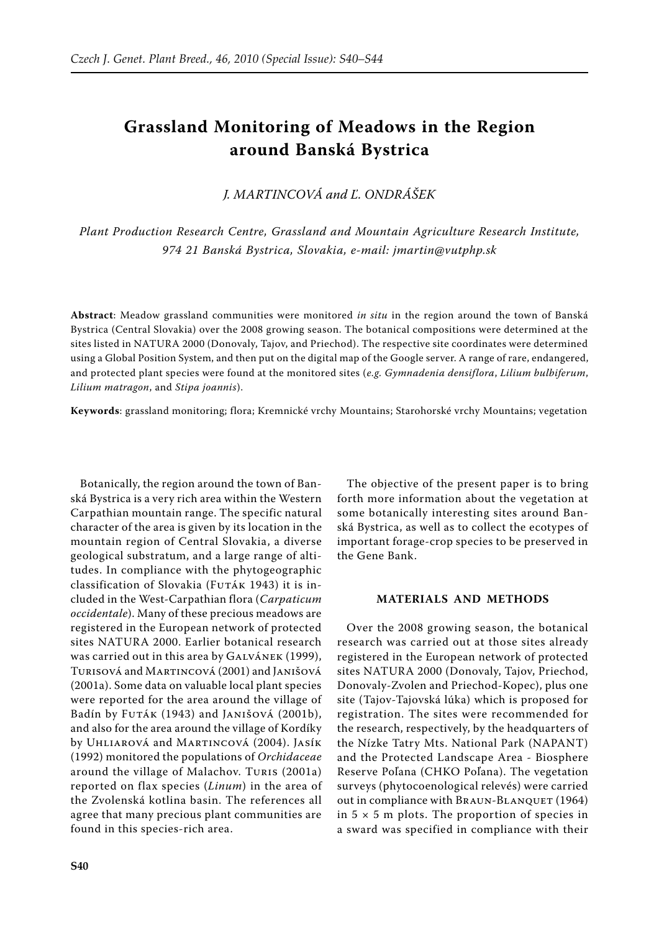# **Grassland Monitoring of Meadows in the Region around Banská Bystrica**

*J. Martincová and Ľ. Ondrášek*

*Plant Production Research Centre, Grassland and Mountain Agriculture Research Institute, 974 21 Banská Bystrica, Slovakia, e-mail: jmartin@vutphp.sk*

**Abstract**: Meadow grassland communities were monitored *in situ* in the region around the town of Banská Bystrica (Central Slovakia) over the 2008 growing season. The botanical compositions were determined at the sites listed in NATURA 2000 (Donovaly, Tajov, and Priechod). The respective site coordinates were determined using a Global Position System, and then put on the digital map of the Google server. A range of rare, endangered, and protected plant species were found at the monitored sites (*e.g. Gymnadenia densiflora*, *Lilium bulbiferum*, *Lilium matragon*, and *Stipa joannis*).

**Keywords**: grassland monitoring; flora; Kremnické vrchy Mountains; Starohorské vrchy Mountains; vegetation

Botanically, the region around the town of Banská Bystrica is a very rich area within the Western Carpathian mountain range. The specific natural character of the area is given by its location in the mountain region of Central Slovakia, a diverse geological substratum, and a large range of altitudes. In compliance with the phytogeographic classification of Slovakia (Futák 1943) it is included in the West-Carpathian flora (*Carpaticum occidentale*). Many of these precious meadows are registered in the European network of protected sites NATURA 2000. Earlier botanical research was carried out in this area by GALVÁNEK (1999), Turisová and Martincová (2001) and Janišová (2001a). Some data on valuable local plant species were reported for the area around the village of Badín by Futák (1943) and Janišová (2001b), and also for the area around the village of Kordíky by Uhliarová and Martincová (2004). Jasík (1992) monitored the populations of *Orchidaceae* around the village of Malachov. Turis (2001a) reported on flax species (*Linum*) in the area of the Zvolenská kotlina basin. The references all agree that many precious plant communities are found in this species-rich area.

The objective of the present paper is to bring forth more information about the vegetation at some botanically interesting sites around Banská Bystrica, as well as to collect the ecotypes of important forage-crop species to be preserved in the Gene Bank.

# **MATERIALS AND METHODS**

Over the 2008 growing season, the botanical research was carried out at those sites already registered in the European network of protected sites NATURA 2000 (Donovaly, Tajov, Priechod, Donovaly-Zvolen and Priechod-Kopec), plus one site (Tajov-Tajovská lúka) which is proposed for registration. The sites were recommended for the research, respectively, by the headquarters of the Nízke Tatry Mts. National Park (NAPANT) and the Protected Landscape Area - Biosphere Reserve Poľana (CHKO Poľana). The vegetation surveys (phytocoenological relevés) were carried out in compliance with BRAUN-BLANQUET (1964) in  $5 \times 5$  m plots. The proportion of species in a sward was specified in compliance with their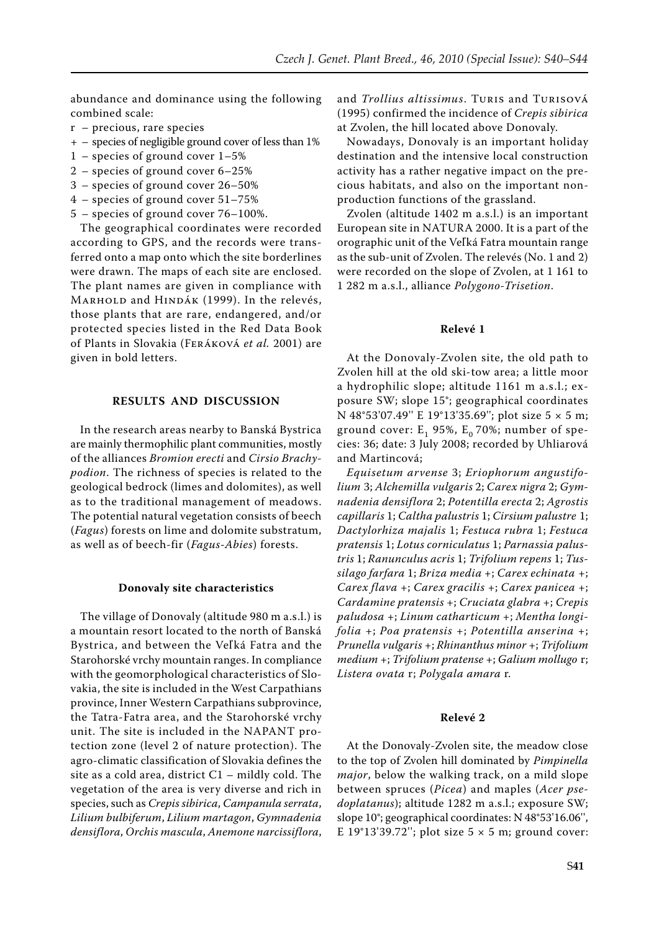abundance and dominance using the following combined scale:

- r precious, rare species
- + species of negligible ground cover of less than 1%
- 1 species of ground cover 1–5%
- 2 species of ground cover 6–25%
- 3 species of ground cover 26–50%
- 4 species of ground cover 51–75%
- 5 species of ground cover 76–100%.

The geographical coordinates were recorded according to GPS, and the records were transferred onto a map onto which the site borderlines were drawn. The maps of each site are enclosed. The plant names are given in compliance with MARHOLD and HINDÁK (1999). In the relevés, those plants that are rare, endangered, and/or protected species listed in the Red Data Book of Plants in Slovakia (Feráková *et al.* 2001) are given in bold letters.

## **RESULTS AND DISCUSSION**

In the research areas nearby to Banská Bystrica are mainly thermophilic plant communities, mostly of the alliances *Bromion erecti* and *Cirsio Brachypodion*. The richness of species is related to the geological bedrock (limes and dolomites), as well as to the traditional management of meadows. The potential natural vegetation consists of beech (*Fagus*) forests on lime and dolomite substratum, as well as of beech-fir (*Fagus-Abies*) forests.

#### **Donovaly site characteristics**

The village of Donovaly (altitude 980 m a.s.l.) is a mountain resort located to the north of Banská Bystrica, and between the Veľ ká Fatra and the Starohorské vrchy mountain ranges. In compliance with the geomorphological characteristics of Slovakia, the site is included in the West Carpathians province, Inner Western Carpathians subprovince, the Tatra-Fatra area, and the Starohorské vrchy unit. The site is included in the NAPANT protection zone (level 2 of nature protection). The agro-climatic classification of Slovakia defines the site as a cold area, district  $C1$  – mildly cold. The vegetation of the area is very diverse and rich in species, such as *Crepis sibirica*, *Campanula serrata*, *Lilium bulbiferum*, *Lilium martagon*, *Gymnadenia densiflora*, *Orchis mascula*, *Anemone narcissiflora*, and *Trollius altissimus*. Turis and Turisová (1995) confirmed the incidence of *Crepis sibirica* at Zvolen, the hill located above Donovaly.

Nowadays, Donovaly is an important holiday destination and the intensive local construction activity has a rather negative impact on the precious habitats, and also on the important nonproduction functions of the grassland.

Zvolen (altitude 1402 m a.s.l.) is an important European site in NATURA 2000. It is a part of the orographic unit of the Veľká Fatra mountain range as the sub-unit of Zvolen. The relevés (No. 1 and 2) were recorded on the slope of Zvolen, at 1 161 to 1 282 m a.s.l., alliance *Polygono-Trisetion*.

#### **Relevé 1**

At the Donovaly-Zvolen site, the old path to Zvolen hill at the old ski-tow area; a little moor a hydrophilic slope; altitude 1161 m a.s.l.; exposure SW; slope 15°; geographical coordinates N 48°53'07.49'' E 19°13'35.69''; plot size 5 × 5 m; ground cover:  $E_1$  95%,  $E_0$  70%; number of species: 36; date: 3 July 2008; recorded by Uhliarová and Martincová;

*Equisetum arvense* 3; *Eriophorum angustifolium* 3; *Alchemilla vulgaris* 2; *Carex nigra* 2; *Gymnadenia densiflora* 2; *Potentilla erecta* 2; *Agrostis capillaris* 1; *Caltha palustris* 1; *Cirsium palustre* 1; *Dactylorhiza majalis* 1; *Festuca rubra* 1; *Festuca pratensis* 1; *Lotus corniculatus* 1; *Parnassia palustris* 1; *Ranunculus acris* 1; *Trifolium repens* 1; *Tussilago farfara* 1; *Briza media* +; *Carex echinata* +; *Carex flava* +; *Carex gracilis* +; *Carex panicea* +; *Cardamine pratensis* +; *Cruciata glabra* +; *Crepis paludosa* +; *Linum catharticum* +; *Mentha longifolia* +; *Poa pratensis* +; *Potentilla anserina* +; *Prunella vulgaris* +; *Rhinanthus minor* +; *Trifolium medium* +; *Trifolium pratense* +; *Galium mollugo* r; *Listera ovata* r; *Polygala amara* r.

#### **Relevé 2**

At the Donovaly-Zvolen site, the meadow close to the top of Zvolen hill dominated by *Pimpinella major*, below the walking track, on a mild slope between spruces (*Picea*) and maples (*Acer psedoplatanus*); altitude 1282 m a.s.l.; exposure SW; slope 10°; geographical coordinates: N 48°53'16.06'', E 19°13'39.72"; plot size  $5 \times 5$  m; ground cover: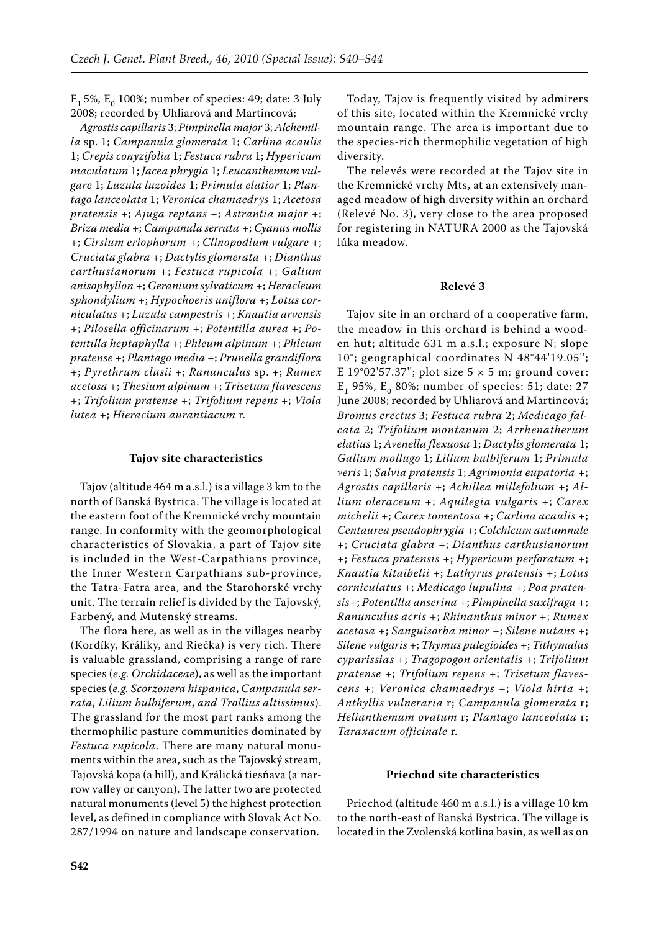$E_1$  5%,  $E_0$  100%; number of species: 49; date: 3 July 2008; recorded by Uhliarová and Martincová;

*Agrostis capillaris* 3; *Pimpinella major* 3; *Alchemilla* sp. 1; *Campanula glomerata* 1; *Carlina acaulis*  1; *Crepis conyzifolia* 1; *Festuca rubra* 1; *Hypericum maculatum* 1; *Jacea phrygia* 1; *Leucanthemum vulgare* 1; *Luzula luzoides* 1; *Primula elatior* 1; *Plantago lanceolata* 1; *Veronica chamaedrys* 1; *Acetosa pratensis* +; *Ajuga reptans* +; *Astrantia major* +; *Briza media* +; *Campanula serrata* +; *Cyanus mollis*  +; *Cirsium eriophorum* +; *Clinopodium vulgare* +; *Cruciata glabra* +; *Dactylis glomerata* +; *Dianthus carthusianorum* +; *Festuca rupicola* +; *Galium anisophyllon* +; *Geranium sylvaticum* +; *Heracleum sphondylium* +; *Hypochoeris uniflora* +; *Lotus corniculatus* +; *Luzula campestris* +; *Knautia arvensis*  +; *Pilosella officinarum* +; *Potentilla aurea* +; *Potentilla heptaphylla* +; *Phleum alpinum* +; *Phleum pratense* +; *Plantago media* +; *Prunella grandiflora*  +; *Pyrethrum clusii* +; *Ranunculus* sp. +; *Rumex acetosa* +; *Thesium alpinum* +; *Trisetum flavescens*  +; *Trifolium pratense* +; *Trifolium repens* +; *Viola lutea* +; *Hieracium aurantiacum* r.

#### **Tajov site characteristics**

Tajov (altitude 464 m a.s.l.) is a village 3 km to the north of Banská Bystrica. The village is located at the eastern foot of the Kremnické vrchy mountain range. In conformity with the geomorphological characteristics of Slovakia, a part of Tajov site is included in the West-Carpathians province, the Inner Western Carpathians sub-province, the Tatra-Fatra area, and the Starohorské vrchy unit. The terrain relief is divided by the Tajovský, Farbený, and Mutenský streams.

The flora here, as well as in the villages nearby (Kordíky, Králiky, and Riečka) is very rich. There is valuable grassland, comprising a range of rare species (*e.g. Orchidaceae*), as well as the important species (*e.g. Scorzonera hispanica*, *Campanula serrata*, *Lilium bulbiferum*, *and Trollius altissimus*). The grassland for the most part ranks among the thermophilic pasture communities dominated by *Festuca rupicola*. There are many natural monuments within the area, such as the Tajovský stream, Tajovská kopa (a hill), and Králická tiesňava (a narrow valley or canyon). The latter two are protected natural monuments (level 5) the highest protection level, as defined in compliance with Slovak Act No. 287/1994 on nature and landscape conservation.

Today, Tajov is frequently visited by admirers of this site, located within the Kremnické vrchy mountain range. The area is important due to the species-rich thermophilic vegetation of high diversity.

The relevés were recorded at the Tajov site in the Kremnické vrchy Mts, at an extensively managed meadow of high diversity within an orchard (Relevé No. 3), very close to the area proposed for registering in NATURA 2000 as the Tajovská lúka meadow.

#### **Relevé 3**

Tajov site in an orchard of a cooperative farm, the meadow in this orchard is behind a wooden hut; altitude 631 m a.s.l.; exposure N; slope 10°; geographical coordinates N 48°44'19.05''; E 19°02'57.37"; plot size 5  $\times$  5 m; ground cover: E<sub>1</sub> 95%, E<sub>0</sub> 80%; number of species: 51; date: 27 June 2008; recorded by Uhliarová and Martincová; *Bromus erectus* 3; *Festuca rubra* 2; *Medicago falcata* 2; *Trifolium montanum* 2; *Arrhenatherum elatius* 1; *Avenella flexuosa* 1; *Dactylis glomerata* 1; *Galium mollugo* 1; *Lilium bulbiferum* 1; *Primula veris* 1; *Salvia pratensis* 1; *Agrimonia eupatoria +*; *Agrostis capillaris +*; *Achillea millefolium +*; *Allium oleraceum +*; *Aquilegia vulgaris +*; *Carex michelii +*; *Carex tomentosa +*; *Carlina acaulis +*; *Centaurea pseudophrygia +*; *Colchicum autumnale +*; *Cruciata glabra +*; *Dianthus carthusianorum +*; *Festuca pratensis +*; *Hypericum perforatum +*; *Knautia kitaibelii +*; *Lathyrus pratensis +*; *Lotus corniculatus +*; *Medicago lupulina +*; *Poa pratensis+*; *Potentilla anserina +*; *Pimpinella saxifraga +*; *Ranunculus acris +*; *Rhinanthus minor +*; *Rumex acetosa +*; *Sanguisorba minor +*; *Silene nutans +*; *Silene vulgaris +*; *Thymus pulegioides +*; *Tithymalus cyparissias +*; *Tragopogon orientalis +*; *Trifolium pratense +*; *Trifolium repens +*; *Trisetum flavescens +*; *Veronica chamaedrys +*; *Viola hirta +*; *Anthyllis vulneraria* r; *Campanula glomerata* r; *Helianthemum ovatum* r; *Plantago lanceolata* r; *Taraxacum officinale* r.

## **Priechod site characteristics**

Priechod (altitude 460 m a.s.l.) is a village 10 km to the north-east of Banská Bystrica. The village is located in the Zvolenská kotlina basin, as well as on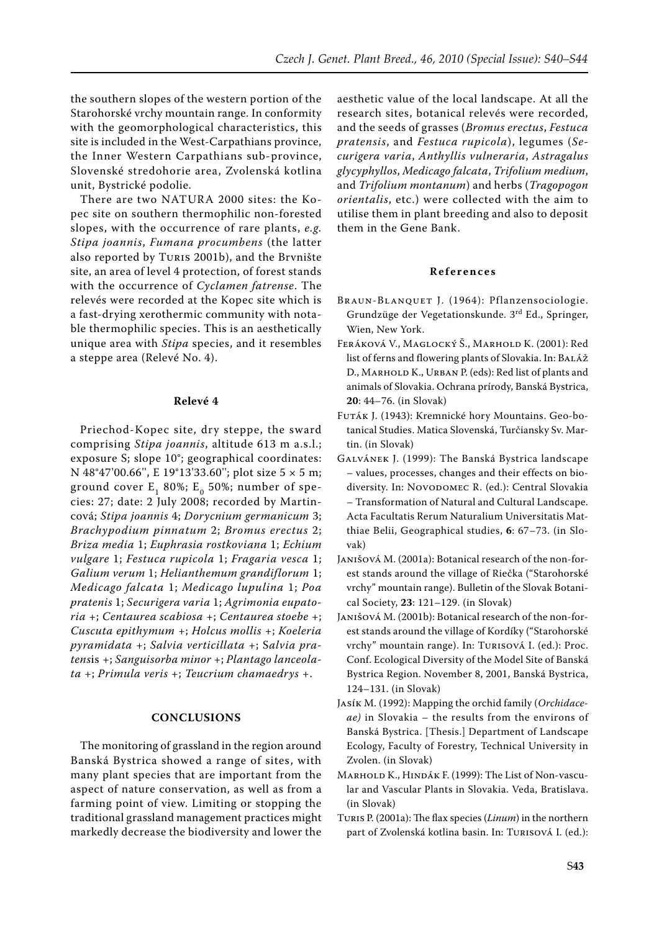the southern slopes of the western portion of the Starohorské vrchy mountain range. In conformity with the geomorphological characteristics, this site is included in the West-Carpathians province, the Inner Western Carpathians sub-province, Slovenské stredohorie area, Zvolenská kotlina unit, Bystrické podolie.

There are two NATURA 2000 sites: the Kopec site on southern thermophilic non-forested slopes, with the occurrence of rare plants, *e.g. Stipa joannis*, *Fumana procumbens* (the latter also reported by Turis 2001b), and the Brvnište site, an area of level 4 protection, of forest stands with the occurrence of *Cyclamen fatrense*. The relevés were recorded at the Kopec site which is a fast-drying xerothermic community with notable thermophilic species. This is an aesthetically unique area with *Stipa* species, and it resembles a steppe area (Relevé No. 4).

## **Relevé 4**

Priechod-Kopec site, dry steppe, the sward comprising *Stipa joannis*, altitude 613 m a.s.l.; exposure S; slope 10°; geographical coordinates: N 48°47'00.66'', E 19°13'33.60''; plot size 5 × 5 m; ground cover  $E_1$  80%;  $E_0$  50%; number of species: 27; date: 2 July 2008; recorded by Martincová; *Stipa joannis* 4; *Dorycnium germanicum* 3; *Brachypodium pinnatum* 2; *Bromus erectus* 2; *Briza media* 1; *Euphrasia rostkoviana* 1; *Echium vulgare* 1; *Festuca rupicola* 1; *Fragaria vesca* 1; *Galium verum* 1; *Helianthemum grandiflorum* 1; *Medicago falcata* 1; *Medicago lupulina* 1; *Poa pratenis* 1; *Securigera varia* 1; *Agrimonia eupatoria* +; *Centaurea scabiosa* +; *Centaurea stoebe* +; *Cuscuta epithymum* +; *Holcus mollis* +; *Koeleria pyramidata* +; *Salvia verticillata* +; S*alvia pratens*is +; *Sanguisorba minor +*; *Plantago lanceolata* +; *Primula veris* +; *Teucrium chamaedrys* +.

## **CONCLUSIONS**

The monitoring of grassland in the region around Banská Bystrica showed a range of sites, with many plant species that are important from the aspect of nature conservation, as well as from a farming point of view. Limiting or stopping the traditional grassland management practices might markedly decrease the biodiversity and lower the

aesthetic value of the local landscape. At all the research sites, botanical relevés were recorded, and the seeds of grasses (*Bromus erectus*, *Festuca pratensis*, and *Festuca rupicola*), legumes (*Securigera varia*, *Anthyllis vulneraria*, *Astragalus glycyphyllos*, *Medicago falcata*, *Trifolium medium*, and *Trifolium montanum*) and herbs (*Tragopogon orientalis*, etc.) were collected with the aim to utilise them in plant breeding and also to deposit them in the Gene Bank.

#### **R e f e r e n c e s**

- Braun-Blanquet J. (1964): Pflanzensociologie. Grundzüge der Vegetationskunde. 3rd Ed., Springer, Wien, New York.
- Feráková V., Maglocký Š., Marhold K. (2001): Red list of ferns and flowering plants of Slovakia. In: BALÁŽ D., MARHOLD K., URBAN P. (eds): Red list of plants and animals of Slovakia. Ochrana prírody, Banská Bystrica, **20**: 44–76. (in Slovak)
- Futák J. (1943): Kremnické hory Mountains. Geo-botanical Studies. Matica Slovenská, Turčiansky Sv. Martin. (in Slovak)
- Galvánek J. (1999): The Banská Bystrica landscape – values, processes, changes and their effects on biodiversity. In: NOVODOMEC R. (ed.): Central Slovakia – Transformation of Natural and Cultural Landscape. Acta Facultatis Rerum Naturalium Universitatis Matthiae Belii, Geographical studies, **6**: 67–73. (in Slovak)
- Janišová M. (2001a): Botanical research of the non-forest stands around the village of Riečka ("Starohorské vrchy" mountain range). Bulletin of the Slovak Botanical Society, **23**: 121–129. (in Slovak)
- Janišová M. (2001b): Botanical research of the non-forest stands around the village of Kordíky ("Starohorské vrchy" mountain range). In: Turisová I. (ed.): Proc. Conf. Ecological Diversity of the Model Site of Banská Bystrica Region. November 8, 2001, Banská Bystrica, 124–131. (in Slovak)
- Jasík M. (1992): Mapping the orchid family (*Orchidaceae)* in Slovakia – the results from the environs of Banská Bystrica. [Thesis.] Department of Landscape Ecology, Faculty of Forestry, Technical University in Zvolen. (in Slovak)
- Marhold K., Hindák F. (1999): The List of Non-vascular and Vascular Plants in Slovakia. Veda, Bratislava. (in Slovak)
- Turis P. (2001a): The flax species (*Linum*) in the northern part of Zvolenská kotlina basin. In: Turisová I. (ed.):